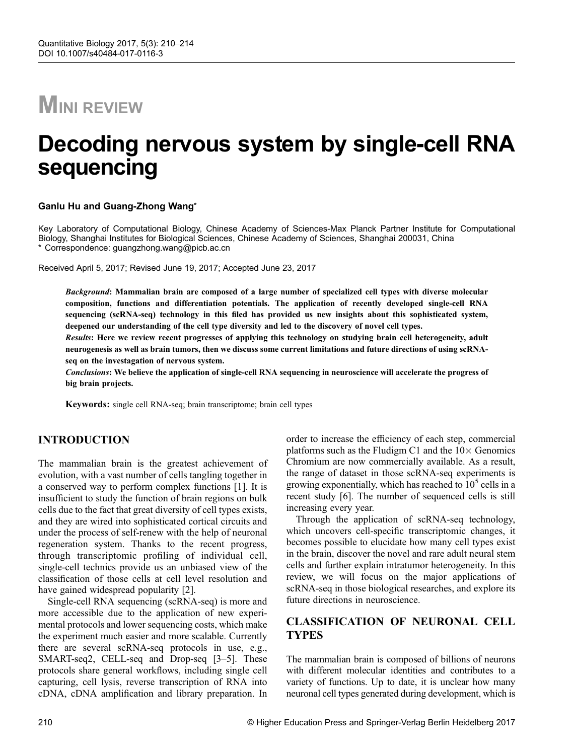# **MINI REVIEW**

# Decoding nervous system by single-cell RNA sequencing

#### Ganlu Hu and Guang-Zhong Wang\*

Key Laboratory of Computational Biology, Chinese Academy of Sciences-Max Planck Partner Institute for Computational Biology, Shanghai Institutes for Biological Sciences, Chinese Academy of Sciences, Shanghai 200031, China \* Correspondence: guangzhong.wang@picb.ac.cn

Received April 5, 2017; Revised June 19, 2017; Accepted June 23, 2017

Background: Mammalian brain are composed of a large number of specialized cell types with diverse molecular composition, functions and differentiation potentials. The application of recently developed single-cell RNA sequencing (scRNA-seq) technology in this filed has provided us new insights about this sophisticated system, deepened our understanding of the cell type diversity and led to the discovery of novel cell types.

Results: Here we review recent progresses of applying this technology on studying brain cell heterogeneity, adult neurogenesis as well as brain tumors, then we discuss some current limitations and future directions of using scRNAseq on the investagation of nervous system.

Conclusions: We believe the application of single-cell RNA sequencing in neuroscience will accelerate the progress of big brain projects.

Keywords: single cell RNA-seq; brain transcriptome; brain cell types

### INTRODUCTION

The mammalian brain is the greatest achievement of evolution, with a vast number of cells tangling together in a conserved way to perform complex functions [[1\]](#page-3-0). It is insufficient to study the function of brain regions on bulk cells due to the fact that great diversity of cell types exists, and they are wired into sophisticated cortical circuits and under the process of self-renew with the help of neuronal regeneration system. Thanks to the recent progress, through transcriptomic profiling of individual cell, single-cell technics provide us an unbiased view of the classification of those cells at cell level resolution and have gained widespread popularity [[2\]](#page-3-0).

Single-cell RNA sequencing (scRNA-seq) is more and more accessible due to the application of new experimental protocols and lower sequencing costs, which make the experiment much easier and more scalable. Currently there are several scRNA-seq protocols in use, e.g., SMART-seq2, CELL-seq and Drop-seq [[3](#page-3-0)–[5\]](#page-3-0). These protocols share general workflows, including single cell capturing, cell lysis, reverse transcription of RNA into cDNA, cDNA amplification and library preparation. In

order to increase the efficiency of each step, commercial platforms such as the Fludigm C1 and the  $10\times$  Genomics Chromium are now commercially available. As a result, the range of dataset in those scRNA-seq experiments is growing exponentially, which has reached to  $10<sup>5</sup>$  cells in a recent study [[6\]](#page-3-0). The number of sequenced cells is still increasing every year.

Through the application of scRNA-seq technology, which uncovers cell-specific transcriptomic changes, it becomes possible to elucidate how many cell types exist in the brain, discover the novel and rare adult neural stem cells and further explain intratumor heterogeneity. In this review, we will focus on the major applications of scRNA-seq in those biological researches, and explore its future directions in neuroscience.

### CLASSIFICATION OF NEURONAL CELL **TYPES**

The mammalian brain is composed of billions of neurons with different molecular identities and contributes to a variety of functions. Up to date, it is unclear how many neuronal cell types generated during development, which is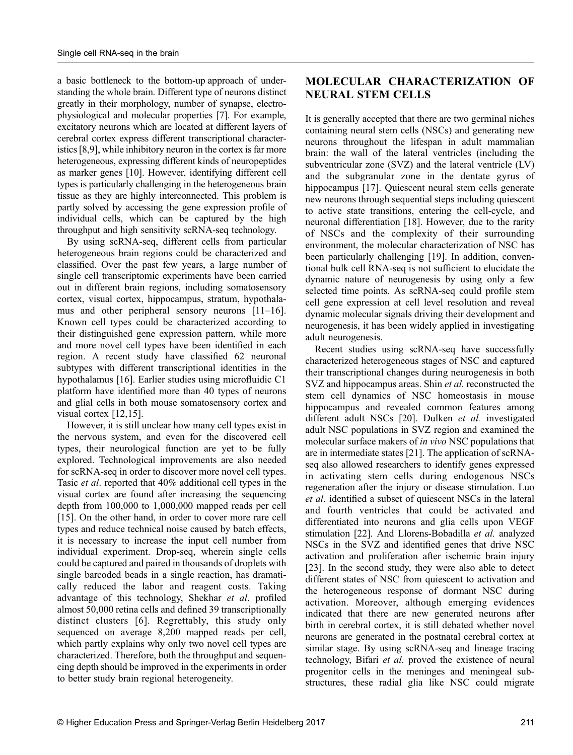a basic bottleneck to the bottom-up approach of understanding the whole brain. Different type of neurons distinct greatly in their morphology, number of synapse, electrophysiological and molecular properties [\[7](#page-3-0)]. For example, excitatory neurons which are located at different layers of cerebral cortex express different transcriptional characteristics [\[8,9](#page-3-0)], while inhibitory neuron in the cortex is far more heterogeneous, expressing different kinds of neuropeptides as marker genes [\[10](#page-3-0)]. However, identifying different cell types is particularly challenging in the heterogeneous brain tissue as they are highly interconnected. This problem is partly solved by accessing the gene expression profile of individual cells, which can be captured by the high throughput and high sensitivity scRNA-seq technology.

By using scRNA-seq, different cells from particular heterogeneous brain regions could be characterized and classified. Over the past few years, a large number of single cell transcriptomic experiments have been carried out in different brain regions, including somatosensory cortex, visual cortex, hippocampus, stratum, hypothala-mus and other peripheral sensory neurons [\[11](#page-3-0)–[16\]](#page-3-0). Known cell types could be characterized according to their distinguished gene expression pattern, while more and more novel cell types have been identified in each region. A recent study have classified 62 neuronal subtypes with different transcriptional identities in the hypothalamus [\[16\]](#page-3-0). Earlier studies using microfluidic C1 platform have identified more than 40 types of neurons and glial cells in both mouse somatosensory cortex and visual cortex [[12](#page-3-0),[15](#page-3-0)].

However, it is still unclear how many cell types exist in the nervous system, and even for the discovered cell types, their neurological function are yet to be fully explored. Technological improvements are also needed for scRNA-seq in order to discover more novel cell types. Tasic et al. reported that 40% additional cell types in the visual cortex are found after increasing the sequencing depth from 100,000 to 1,000,000 mapped reads per cell [[15](#page-3-0)]. On the other hand, in order to cover more rare cell types and reduce technical noise caused by batch effects, it is necessary to increase the input cell number from individual experiment. Drop-seq, wherein single cells could be captured and paired in thousands of droplets with single barcoded beads in a single reaction, has dramatically reduced the labor and reagent costs. Taking advantage of this technology, Shekhar et al. profiled almost 50,000 retina cells and defined 39 transcriptionally distinct clusters [[6\]](#page-3-0). Regrettably, this study only sequenced on average 8,200 mapped reads per cell, which partly explains why only two novel cell types are characterized. Therefore, both the throughput and sequencing depth should be improved in the experiments in order to better study brain regional heterogeneity.

## MOLECULAR CHARACTERIZATION OF NEURAL STEM CELLS

It is generally accepted that there are two germinal niches containing neural stem cells (NSCs) and generating new neurons throughout the lifespan in adult mammalian brain: the wall of the lateral ventricles (including the subventricular zone (SVZ) and the lateral ventricle (LV) and the subgranular zone in the dentate gyrus of hippocampus [[17](#page-3-0)]. Quiescent neural stem cells generate new neurons through sequential steps including quiescent to active state transitions, entering the cell-cycle, and neuronal differentiation [\[18](#page-3-0)]. However, due to the rarity of NSCs and the complexity of their surrounding environment, the molecular characterization of NSC has been particularly challenging [\[19\]](#page-3-0). In addition, conventional bulk cell RNA-seq is not sufficient to elucidate the dynamic nature of neurogenesis by using only a few selected time points. As scRNA-seq could profile stem cell gene expression at cell level resolution and reveal dynamic molecular signals driving their development and neurogenesis, it has been widely applied in investigating adult neurogenesis.

Recent studies using scRNA-seq have successfully characterized heterogeneous stages of NSC and captured their transcriptional changes during neurogenesis in both SVZ and hippocampus areas. Shin *et al.* reconstructed the stem cell dynamics of NSC homeostasis in mouse hippocampus and revealed common features among different adult NSCs [[20](#page-3-0)]. Dulken et al. investigated adult NSC populations in SVZ region and examined the molecular surface makers of in vivo NSC populations that are in intermediate states [\[21\]](#page-3-0). The application of scRNAseq also allowed researchers to identify genes expressed in activating stem cells during endogenous NSCs regeneration after the injury or disease stimulation. Luo et al. identified a subset of quiescent NSCs in the lateral and fourth ventricles that could be activated and differentiated into neurons and glia cells upon VEGF stimulation [\[22\]](#page-3-0). And Llorens-Bobadilla et al. analyzed NSCs in the SVZ and identified genes that drive NSC activation and proliferation after ischemic brain injury [[23](#page-4-0)]. In the second study, they were also able to detect different states of NSC from quiescent to activation and the heterogeneous response of dormant NSC during activation. Moreover, although emerging evidences indicated that there are new generated neurons after birth in cerebral cortex, it is still debated whether novel neurons are generated in the postnatal cerebral cortex at similar stage. By using scRNA-seq and lineage tracing technology, Bifari et al. proved the existence of neural progenitor cells in the meninges and meningeal substructures, these radial glia like NSC could migrate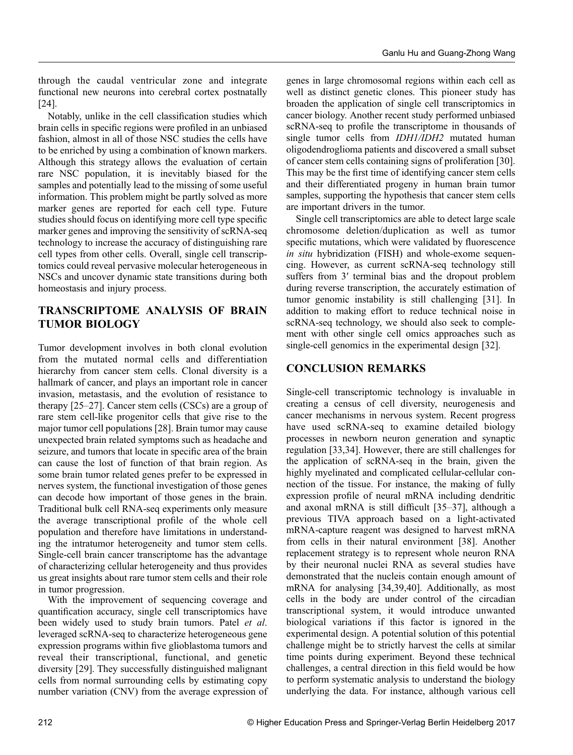through the caudal ventricular zone and integrate functional new neurons into cerebral cortex postnatally [\[24\]](#page-4-0).

Notably, unlike in the cell classification studies which brain cells in specific regions were profiled in an unbiased fashion, almost in all of those NSC studies the cells have to be enriched by using a combination of known markers. Although this strategy allows the evaluation of certain rare NSC population, it is inevitably biased for the samples and potentially lead to the missing of some useful information. This problem might be partly solved as more marker genes are reported for each cell type. Future studies should focus on identifying more cell type specific marker genes and improving the sensitivity of scRNA-seq technology to increase the accuracy of distinguishing rare cell types from other cells. Overall, single cell transcriptomics could reveal pervasive molecular heterogeneous in NSCs and uncover dynamic state transitions during both homeostasis and injury process.

### TRANSCRIPTOME ANALYSIS OF BRAIN TUMOR BIOLOGY

Tumor development involves in both clonal evolution from the mutated normal cells and differentiation hierarchy from cancer stem cells. Clonal diversity is a hallmark of cancer, and plays an important role in cancer invasion, metastasis, and the evolution of resistance to therapy [[25](#page-4-0)–[27\]](#page-4-0). Cancer stem cells (CSCs) are a group of rare stem cell-like progenitor cells that give rise to the major tumor cell populations [[28](#page-4-0)]. Brain tumor may cause unexpected brain related symptoms such as headache and seizure, and tumors that locate in specific area of the brain can cause the lost of function of that brain region. As some brain tumor related genes prefer to be expressed in nerves system, the functional investigation of those genes can decode how important of those genes in the brain. Traditional bulk cell RNA-seq experiments only measure the average transcriptional profile of the whole cell population and therefore have limitations in understanding the intratumor heterogeneity and tumor stem cells. Single-cell brain cancer transcriptome has the advantage of characterizing cellular heterogeneity and thus provides us great insights about rare tumor stem cells and their role in tumor progression.

With the improvement of sequencing coverage and quantification accuracy, single cell transcriptomics have been widely used to study brain tumors. Patel et al. leveraged scRNA-seq to characterize heterogeneous gene expression programs within five glioblastoma tumors and reveal their transcriptional, functional, and genetic diversity [[29](#page-4-0)]. They successfully distinguished malignant cells from normal surrounding cells by estimating copy number variation (CNV) from the average expression of genes in large chromosomal regions within each cell as well as distinct genetic clones. This pioneer study has broaden the application of single cell transcriptomics in cancer biology. Another recent study performed unbiased scRNA-seq to profile the transcriptome in thousands of single tumor cells from IDH1/IDH2 mutated human oligodendroglioma patients and discovered a small subset of cancer stem cells containing signs of proliferation [\[30\]](#page-4-0). This may be the first time of identifying cancer stem cells and their differentiated progeny in human brain tumor samples, supporting the hypothesis that cancer stem cells are important drivers in the tumor.

Single cell transcriptomics are able to detect large scale chromosome deletion/duplication as well as tumor specific mutations, which were validated by fluorescence in situ hybridization (FISH) and whole-exome sequencing. However, as current scRNA-seq technology still suffers from 3' terminal bias and the dropout problem during reverse transcription, the accurately estimation of tumor genomic instability is still challenging [\[31\]](#page-4-0). In addition to making effort to reduce technical noise in scRNA-seq technology, we should also seek to complement with other single cell omics approaches such as single-cell genomics in the experimental design [\[32\]](#page-4-0).

## CONCLUSION REMARKS

Single-cell transcriptomic technology is invaluable in creating a census of cell diversity, neurogenesis and cancer mechanisms in nervous system. Recent progress have used scRNA-seq to examine detailed biology processes in newborn neuron generation and synaptic regulation [[33](#page-4-0),[34](#page-4-0)]. However, there are still challenges for the application of scRNA-seq in the brain, given the highly myelinated and complicated cellular-cellular connection of the tissue. For instance, the making of fully expression profile of neural mRNA including dendritic and axonal mRNA is still difficult [\[35](#page-4-0)–[37](#page-4-0)], although a previous TIVA approach based on a light-activated mRNA-capture reagent was designed to harvest mRNA from cells in their natural environment [[38](#page-4-0)]. Another replacement strategy is to represent whole neuron RNA by their neuronal nuclei RNA as several studies have demonstrated that the nucleis contain enough amount of mRNA for analysing [\[34,39,40](#page-4-0)]. Additionally, as most cells in the body are under control of the circadian transcriptional system, it would introduce unwanted biological variations if this factor is ignored in the experimental design. A potential solution of this potential challenge might be to strictly harvest the cells at similar time points during experiment. Beyond these technical challenges, a central direction in this field would be how to perform systematic analysis to understand the biology underlying the data. For instance, although various cell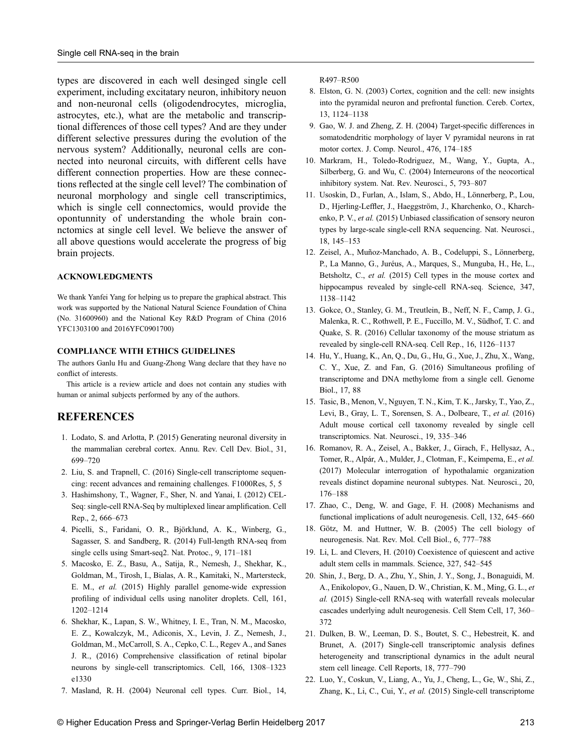<span id="page-3-0"></span>types are discovered in each well desinged single cell experiment, including excitatary neuron, inhibitory neuon and non-neuronal cells (oligodendrocytes, microglia, astrocytes, etc.), what are the metabolic and transcriptional differences of those cell types? And are they under different selective pressures during the evolution of the nervous system? Additionally, neuronal cells are connected into neuronal circuits, with different cells have different connection properties. How are these connections reflected at the single cell level? The combination of neuronal morphology and single cell transcriptimics, which is single cell connectomics, would provide the opontunnity of understanding the whole brain connctomics at single cell level. We believe the answer of all above questions would accelerate the progress of big brain projects.

#### ACKNOWLEDGMENTS

We thank Yanfei Yang for helping us to prepare the graphical abstract. This work was supported by the National Natural Science Foundation of China (No. 31600960) and the National Key R&D Program of China (2016 YFC1303100 and 2016YFC0901700)

#### COMPLIANCE WITH ETHICS GUIDELINES

The authors Ganlu Hu and Guang-Zhong Wang declare that they have no conflict of interests.

This article is a review article and does not contain any studies with human or animal subjects performed by any of the authors.

#### REFERENCES

- 1. Lodato, S. and Arlotta, P. (2015) Generating neuronal diversity in the mammalian cerebral cortex. Annu. Rev. Cell Dev. Biol., 31, 699–720
- 2. Liu, S. and Trapnell, C. (2016) Single-cell transcriptome sequencing: recent advances and remaining challenges. F1000Res, 5, 5
- 3. Hashimshony, T., Wagner, F., Sher, N. and Yanai, I. (2012) CEL-Seq: single-cell RNA-Seq by multiplexed linear amplification. Cell Rep., 2, 666–673
- 4. Picelli, S., Faridani, O. R., Björklund, A. K., Winberg, G., Sagasser, S. and Sandberg, R. (2014) Full-length RNA-seq from single cells using Smart-seq2. Nat. Protoc., 9, 171–181
- 5. Macosko, E. Z., Basu, A., Satija, R., Nemesh, J., Shekhar, K., Goldman, M., Tirosh, I., Bialas, A. R., Kamitaki, N., Martersteck, E. M., et al. (2015) Highly parallel genome-wide expression profiling of individual cells using nanoliter droplets. Cell, 161, 1202–1214
- 6. Shekhar, K., Lapan, S. W., Whitney, I. E., Tran, N. M., Macosko, E. Z., Kowalczyk, M., Adiconis, X., Levin, J. Z., Nemesh, J., Goldman, M., McCarroll, S. A., Cepko, C. L., Regev A., and Sanes J. R., (2016) Comprehensive classification of retinal bipolar neurons by single-cell transcriptomics. Cell, 166, 1308–1323 e1330
- 7. Masland, R. H. (2004) Neuronal cell types. Curr. Biol., 14,

R497–R500

- 8. Elston, G. N. (2003) Cortex, cognition and the cell: new insights into the pyramidal neuron and prefrontal function. Cereb. Cortex, 13, 1124–1138
- 9. Gao, W. J. and Zheng, Z. H. (2004) Target-specific differences in somatodendritic morphology of layer V pyramidal neurons in rat motor cortex. J. Comp. Neurol., 476, 174–185
- 10. Markram, H., Toledo-Rodriguez, M., Wang, Y., Gupta, A., Silberberg, G. and Wu, C. (2004) Interneurons of the neocortical inhibitory system. Nat. Rev. Neurosci., 5, 793–807
- 11. Usoskin, D., Furlan, A., Islam, S., Abdo, H., Lönnerberg, P., Lou, D., Hjerling-Leffler, J., Haeggström, J., Kharchenko, O., Kharchenko, P. V., et al. (2015) Unbiased classification of sensory neuron types by large-scale single-cell RNA sequencing. Nat. Neurosci., 18, 145–153
- 12. Zeisel, A., Muñoz-Manchado, A. B., Codeluppi, S., Lönnerberg, P., La Manno, G., Juréus, A., Marques, S., Munguba, H., He, L., Betsholtz, C., et al. (2015) Cell types in the mouse cortex and hippocampus revealed by single-cell RNA-seq. Science, 347, 1138–1142
- 13. Gokce, O., Stanley, G. M., Treutlein, B., Neff, N. F., Camp, J. G., Malenka, R. C., Rothwell, P. E., Fuccillo, M. V., Südhof, T. C. and Quake, S. R. (2016) Cellular taxonomy of the mouse striatum as revealed by single-cell RNA-seq. Cell Rep., 16, 1126–1137
- 14. Hu, Y., Huang, K., An, Q., Du, G., Hu, G., Xue, J., Zhu, X., Wang, C. Y., Xue, Z. and Fan, G. (2016) Simultaneous profiling of transcriptome and DNA methylome from a single cell. Genome Biol., 17, 88
- 15. Tasic, B., Menon, V., Nguyen, T. N., Kim, T. K., Jarsky, T., Yao, Z., Levi, B., Gray, L. T., Sorensen, S. A., Dolbeare, T., et al. (2016) Adult mouse cortical cell taxonomy revealed by single cell transcriptomics. Nat. Neurosci., 19, 335–346
- 16. Romanov, R. A., Zeisel, A., Bakker, J., Girach, F., Hellysaz, A., Tomer, R., Alpár, A., Mulder, J., Clotman, F., Keimpema, E., et al. (2017) Molecular interrogation of hypothalamic organization reveals distinct dopamine neuronal subtypes. Nat. Neurosci., 20, 176–188
- 17. Zhao, C., Deng, W. and Gage, F. H. (2008) Mechanisms and functional implications of adult neurogenesis. Cell, 132, 645–660
- 18. Götz, M. and Huttner, W. B. (2005) The cell biology of neurogenesis. Nat. Rev. Mol. Cell Biol., 6, 777–788
- 19. Li, L. and Clevers, H. (2010) Coexistence of quiescent and active adult stem cells in mammals. Science, 327, 542–545
- 20. Shin, J., Berg, D. A., Zhu, Y., Shin, J. Y., Song, J., Bonaguidi, M. A., Enikolopov, G., Nauen, D. W., Christian, K. M., Ming, G. L., et al. (2015) Single-cell RNA-seq with waterfall reveals molecular cascades underlying adult neurogenesis. Cell Stem Cell, 17, 360– 372
- 21. Dulken, B. W., Leeman, D. S., Boutet, S. C., Hebestreit, K. and Brunet, A. (2017) Single-cell transcriptomic analysis defines heterogeneity and transcriptional dynamics in the adult neural stem cell lineage. Cell Reports, 18, 777–790
- 22. Luo, Y., Coskun, V., Liang, A., Yu, J., Cheng, L., Ge, W., Shi, Z., Zhang, K., Li, C., Cui, Y., et al. (2015) Single-cell transcriptome